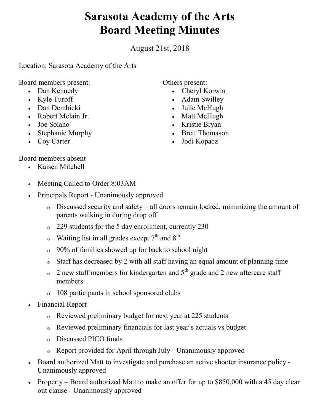## Sarasota Academy of the Arts Board Meeting Minutes

August 21st, 2018

Location: Sarasota Academy of the Arts

Board members present:

- Dan Kennedy
- Kyle Turoff
- Dan Dembicki
- Robert Mclain Jr.
- Joe Solano
- Stephanie Murphy
- Coy Carter

Others present:

- Cheryl Korwin
- Adam Swilley
- Julie McHugh
- Matt McHugh
- Kristie Bryan
- Brett Thomason
- Jodi Kopacz

- Board members absent
	- Kaisen Mitchell
	- Meeting Called to Order 8:03AM
	- Principals Report Unanimously approved
		- o Discussed security and safety all doors remain locked, minimizing the amount of parents walking in during drop off
		- o 229 students for the 5 day enrollment, currently 230
		- $\circ$  Waiting list in all grades except 7<sup>th</sup> and 8<sup>th</sup>
		- o 90% of families showed up for back to school night
		- o Staff has decreased by 2 with all staff having an equal amount of planning time
		- $\circ$  2 new staff members for kindergarten and 5<sup>th</sup> grade and 2 new aftercare staff members
		- o 108 participants in school sponsored clubs
	- Financial Report
		- o Reviewed preliminary budget for next year at 225 students
		- o Reviewed preliminary financials for last year's actuals vs budget
		- o Discussed PICO funds
		- o Report provided for April through July Unanimously approved
	- Board authorized Matt to investigate and purchase an active shooter insurance policy Unanimously approved
	- Property Board authorized Matt to make an offer for up to \$850,000 with a 45 day clear out clause - Unanimously approved